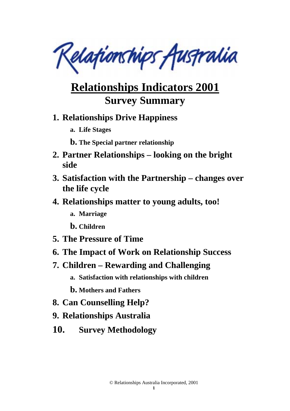Relationships Australia

# **Relationships Indicators 2001 Survey Summary**

### **1. Relationships Drive Happiness**

- **a. Life Stages**
- **b. The Special partner relationship**
- **2. Partner Relationships looking on the bright side**
- **3. Satisfaction with the Partnership changes over the life cycle**
- **4. Relationships matter to young adults, too!** 
	- **a. Marriage**
	- **b. Children**
- **5. The Pressure of Time**
- **6. The Impact of Work on Relationship Success**
- **7. Children Rewarding and Challenging** 
	- **a. Satisfaction with relationships with children**
	- **b. Mothers and Fathers**
- **8. Can Counselling Help?**
- **9. Relationships Australia**
- **10. Survey Methodology**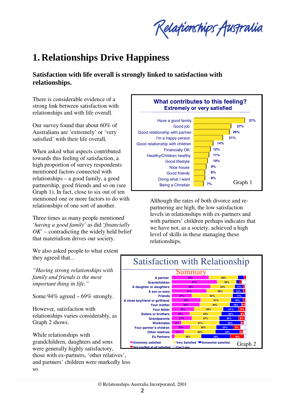Relationships Australia

# **1. Relationships Drive Happiness**

### **Satisfaction with life overall is strongly linked to satisfaction with relationships.**

There is considerable evidence of a strong link between satisfaction with relationships and with life overall.

Our survey found that about 60% of Australians are 'extremely' or 'very satisfied' with their life overall*.* 

When asked what aspects contributed towards this feeling of satisfaction, a high proportion of survey respondents mentioned factors connected with relationships – a good family, a good partnership, good friends and so on (see Graph 1). In fact, close to six out of ten mentioned one or more factors to do with relationships of one sort of another.

Three times as many people mentioned '*having a good family*' as did '*financially OK*' – contradicting the widely held belief that materialism drives our society.



Although the rates of both divorce and repartnering are high, the low satisfaction levels in relationships with ex-partners and with partners' children perhaps indicates that we have not, as a society, achieved a high level of skills in these managing these relationships.



We also asked people to what extent they agreed that...

*"Having strong relationships with family and friends is the most important thing in life."* 

Some 94% agreed – 69% strongly.

However, satisfaction with relationships varies considerably, as Graph 2 shows.

While relationships with grandchildren, daughters and sons were generally highly satisfactory, those with ex-partners, 'other relatives',

and partners' children were markedly less so.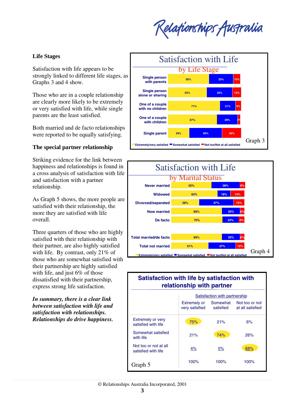Relafionships Australia

### **Life Stages**

Satisfaction with life appears to be strongly linked to different life stages, as Graphs 3 and 4 show.

Those who are in a couple relationship are clearly more likely to be extremely or very satisfied with life, while single parents are the least satisfied.

Both married and de facto relationships were reported to be equally satisfying.

### **The special partner relationship**

Striking evidence for the link between happiness and relationships is found in a cross analysis of satisfaction with life and satisfaction with a partner relationship.

As Graph 5 shows, the more people are satisfied with their relationship, the more they are satisfied with life overall.

Three quarters of those who are highly satisfied with their relationship with their partner, are also highly satisfied with life. By contrast, only 21% of those who are somewhat satisfied with their partnership are highly satisfied with life, and just 6% of those dissatisfied with their partnership, express strong life satisfaction.

*In summary, there is a clear link between satisfaction with life and satisfaction with relationships. Relationships do drive happiness.*





### **Satisfaction with life by satisfaction with relationship with partner**

|                                                 | Satisfaction with partnership         |                       |                                    |  |
|-------------------------------------------------|---------------------------------------|-----------------------|------------------------------------|--|
|                                                 | <b>Extremely or</b><br>very satisfied | Somewhat<br>satisfied | Not too or not<br>at all satisfied |  |
| <b>Extremely or very</b><br>satisfied with life | 75%                                   | 21%                   | 6%                                 |  |
| Somewhat satisfied<br>with life                 | 21%                                   | 74%                   | 26%                                |  |
| Not too or not at all<br>satisfied with life    | 4%                                    | 5%                    | 68%                                |  |
| Graph 5                                         | 100%                                  | 100%                  | 100%                               |  |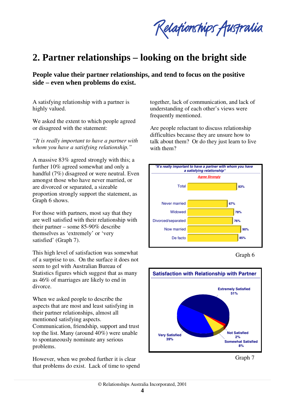Relationships Australia

## **2. Partner relationships – looking on the bright side**

**People value their partner relationships, and tend to focus on the positive side – even when problems do exist.** 

A satisfying relationship with a partner is highly valued.

We asked the extent to which people agreed or disagreed with the statement:

*"It is really important to have a partner with whom you have a satisfying relationship."*

A massive 83% agreed strongly with this; a further 10% agreed somewhat and only a handful (7%) disagreed or were neutral. Even amongst those who have never married, or are divorced or separated, a sizeable proportion strongly support the statement, as Graph 6 shows.

For those with partners, most say that they are well satisfied with their relationship with their partner – some 85-90% describe themselves as 'extremely' or 'very satisfied' (Graph 7).

This high level of satisfaction was somewhat of a surprise to us. On the surface it does not seem to gel with Australian Bureau of Statistics figures which suggest that as many as 46% of marriages are likely to end in divorce.

When we asked people to describe the aspects that are most and least satisfying in their partner relationships, almost all mentioned satisfying aspects. Communication, friendship, support and trust top the list. Many (around 40%) were unable to spontaneously nominate any serious problems.

However, when we probed further it is clear that problems do exist. Lack of time to spend together, lack of communication, and lack of understanding of each other's views were frequently mentioned.

Are people reluctant to discuss relationship difficulties because they are unsure how to talk about them? Or do they just learn to live with them?



Graph 6



Graph 7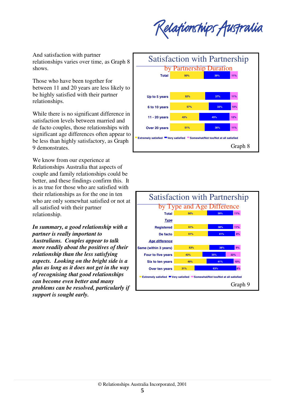Relationships Australia

And satisfaction with partner relationships varies over time, as Graph 8 shows.

Those who have been together for between 11 and 20 years are less likely to be highly satisfied with their partner relationships.

While there is no significant difference in satisfaction levels between married and de facto couples, those relationships with significant age differences often appear to be less than highly satisfactory, as Graph 9 demonstrates.

We know from our experience at Relationships Australia that aspects of couple and family relationships could be better, and these findings confirm this. It is as true for those who are satisfied with their relationships as for the one in ten who are only somewhat satisfied or not at all satisfied with their partner relationship.

*In summary, a good relationship with a partner is really important to Australians. Couples appear to talk more readily about the positives of their relationship than the less satisfying aspects. Looking on the bright side is a plus as long as it does not get in the way of recognising that good relationships can become even better and many problems can be resolved, particularly if support is sought early.*



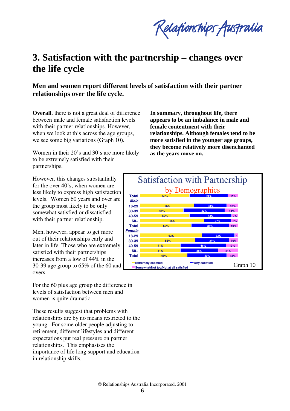Relationships Australia

## **3. Satisfaction with the partnership – changes over the life cycle**

**Men and women report different levels of satisfaction with their partner relationships over the life cycle.** 

**Overall**, there is not a great deal of difference between male and female satisfaction levels with their partner relationships. However, when we look at this across the age groups, we see some big variations (Graph 10).

Women in their 20's and 30's are more likely to be extremely satisfied with their partnerships.

**In summary, throughout life, there appears to be an imbalance in male and female contentment with their relationships. Although females tend to be more satisfied in the younger age groups, they become relatively more disenchanted as the years move on.**

However, this changes substantially for the over 40's, when women are less likely to express high satisfaction levels. Women 60 years and over are the group most likely to be only somewhat satisfied or dissatisfied with their partner relationship.

Men, however, appear to get more out of their relationships early and later in life. Those who are extremely satisfied with their partnerships increases from a low of 44% in the 30-39 age group to 65% of the 60 and overs.

For the 60 plus age group the difference in levels of satisfaction between men and women is quite dramatic.

These results suggest that problems with relationships are by no means restricted to the young. For some older people adjusting to retirement, different lifestyles and different expectations put real pressure on partner relationships. This emphasises the importance of life long support and education in relationship skills.

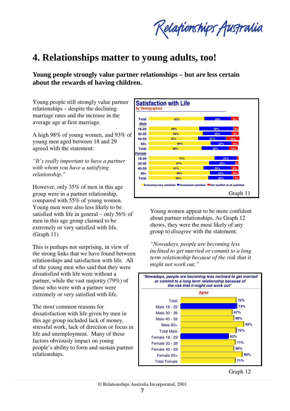Relationships Australia

## **4. Relationships matter to young adults, too!**

**Young people strongly value partner relationships – but are less certain about the rewards of having children.** 

Young people still strongly value partner relationships – despite the declining marriage rates and the increase in the average age at first marriage.

A high 98% of young women, and 93% of young men aged between 18 and 29 agreed with the statement:

*"It's really important to have a partner with whom you have a satisfying relationship."*

However, only 35% of men in this age group were in a partner relationship, compared with 55% of young women. Young men were also less likely to be satisfied with life in general – only 56% of men in this age group claimed to be extremely or very satisfied with life. (Graph 11)

This is perhaps not surprising, in view of the strong links that we have found between relationships and satisfaction with life. All of the young men who said that they were dissatisfied with life were without a partner, while the vast majority (79%) of those who were with a partner were extremely or very satisfied with life.

The most common reasons for dissatisfaction with life given by men in this age group included lack of money, stressful work, lack of direction or focus in life and unemployment. Many of these factors obviously impact on young people's ability to form and sustain partner relationships.



Young women appear to be more confident about partner relationships. As Graph 12 shows, they were the most likely of any group to *disagree* with the statement:

*"Nowadays, people are becoming less inclined to get married or commit to a long term relationship because of the risk that it might not work out."*

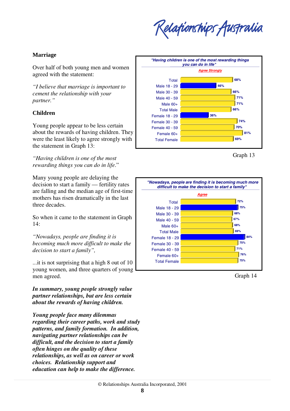Relafionships Australia

### **Marriage**

Over half of both young men and women agreed with the statement:

*"I believe that marriage is important to cement the relationship with your partner."*

### **Children**

Young people appear to be less certain about the rewards of having children. They were the least likely to agree strongly with the statement in Graph 13:

*"Having children is one of the most rewarding things you can do in life*."

Many young people are delaying the decision to start a family — fertility rates are falling and the median age of first-time mothers has risen dramatically in the last three decades.

So when it came to the statement in Graph 14:

*"Nowadays, people are finding it is becoming much more difficult to make the decision to start a family",* 

...it is not surprising that a high 8 out of 10 young women, and three quarters of young men agreed.

*In summary, young people strongly value partner relationships, but are less certain about the rewards of having children.* 

*Young people face many dilemmas regarding their career paths, work and study patterns, and family formation. In addition, navigating partner relationships can be difficult, and the decision to start a family often hinges on the quality of these relationships, as well as on career or work choices. Relationship support and education can help to make the difference.*



Graph 13



Graph 14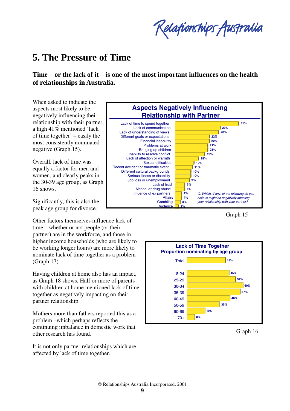Relationships Australia

## **5. The Pressure of Time**

**Time – or the lack of it – is one of the most important influences on the health of relationships in Australia.** 

When asked to indicate the aspects most likely to be negatively influencing their relationship with their partner, a high 41% mentioned 'lack of time together' – easily the most consistently nominated negative (Graph 15).

Overall, lack of time was equally a factor for men and women, and clearly peaks in the 30-39 age group, as Graph 16 shows.

Significantly, this is also the peak age group for divorce.

Other factors themselves influence lack of time – whether or not people (or their partner) are in the workforce, and those in higher income households (who are likely to be working longer hours) are more likely to nominate lack of time together as a problem (Graph 17).

Having children at home also has an impact, as Graph 18 shows. Half or more of parents with children at home mentioned lack of time together as negatively impacting on their partner relationship.

Mothers more than fathers reported this as a problem –which perhaps reflects the continuing imbalance in domestic work that other research has found.

It is not only partner relationships which are affected by lack of time together.



Graph 15



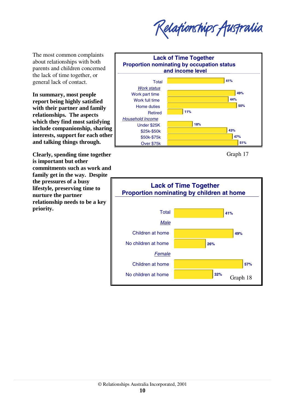Relationships Australia

The most common complaints about relationships with both parents and children concerned the lack of time together, or general lack of contact.

**In summary, most people report being highly satisfied with their partner and family relationships. The aspects which they find most satisfying include companionship, sharing interests, support for each other and talking things through.** 

**Clearly, spending time together is important but other commitments such as work and family get in the way. Despite the pressures of a busy lifestyle, preserving time to nurture the partner relationship needs to be a key priority.**





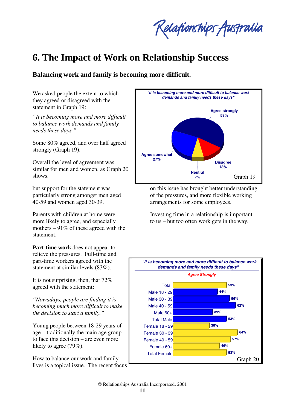Relationships Australia

# **6. The Impact of Work on Relationship Success**

**Balancing work and family is becoming more difficult.** 

We asked people the extent to which they agreed or disagreed with the statement in Graph 19:

*"It is becoming more and more difficult to balance work demands and family needs these days."*

Some 80% agreed, and over half agreed strongly (Graph 19).

Overall the level of agreement was similar for men and women, as Graph 20 shows.

but support for the statement was particularly strong amongst men aged 40-59 and women aged 30-39.

Parents with children at home were more likely to agree, and especially mothers  $-91\%$  of these agreed with the statement.

**Part-time work** does not appear to relieve the pressures. Full-time and part-time workers agreed with the statement at similar levels (83%).

It is not surprising, then, that 72% agreed with the statement:

*"Nowadays, people are finding it is becoming much more difficult to make the decision to start a family."*

Young people between 18-29 years of age – traditionally the main age group to face this decision – are even more likely to agree (79%).

How to balance our work and family lives is a topical issue. The recent focus



on this issue has brought better understanding of the pressures, and more flexible working arrangements for some employees.

Investing time in a relationship is important to us – but too often work gets in the way.

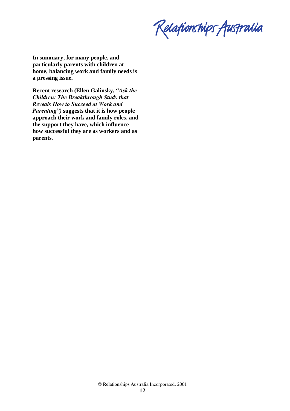Relationships Australia

**In summary, for many people, and particularly parents with children at home, balancing work and family needs is a pressing issue.** 

**Recent research (Ellen Galinsky,** *"Ask the Children: The Breakthrough Study that Reveals How to Succeed at Work and Parenting")* **suggests that it is how people approach their work and family roles, and the support they have, which influence how successful they are as workers and as parents.**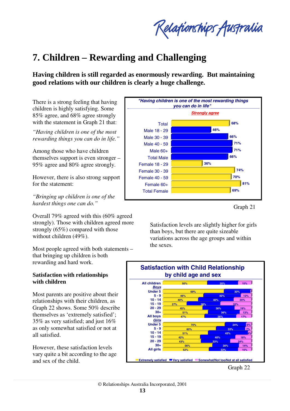Relationships Australia

## **7. Children – Rewarding and Challenging**

**Having children is still regarded as enormously rewarding. But maintaining good relations with our children is clearly a huge challenge.** 

There is a strong feeling that having children is highly satisfying. Some 85% agree, and 68% agree strongly with the statement in Graph 21 that:

*"Having children is one of the most rewarding things you can do in life."*

Among those who have children themselves support is even stronger – 95% agree and 80% agree strongly.

However, there is also strong support for the statement:

*"Bringing up children is one of the hardest things one can do."*

Overall 79% agreed with this (60% agreed strongly). Those with children agreed more strongly (65%) compared with those without children (49%).

Most people agreed with both statements – that bringing up children is both rewarding and hard work.

#### **Satisfaction with relationships with children**

Most parents are positive about their relationships with their children, as Graph 22 shows. Some 50% describe themselves as 'extremely satisfied'; 35% as very satisfied; and just 16% as only somewhat satisfied or not at all satisfied.

However, these satisfaction levels vary quite a bit according to the age and sex of the child.



Graph 21

Satisfaction levels are slightly higher for girls than boys, but there are quite sizeable variations across the age groups and within the sexes.

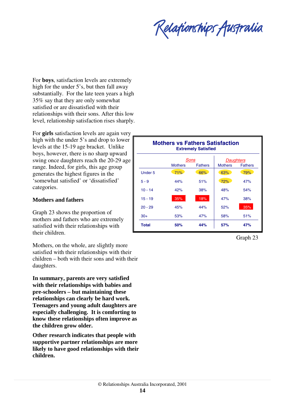Relationships Australia

For **boys**, satisfaction levels are extremely high for the under 5's, but then fall away substantially. For the late teen years a high 35% say that they are only somewhat satisfied or are dissatisfied with their relationships with their sons. After this low level, relationship satisfaction rises sharply.

For **girls** satisfaction levels are again very high with the under 5's and drop to lower levels at the 15-19 age bracket. Unlike boys, however, there is no sharp upward swing once daughters reach the 20-29 age range. Indeed, for girls, this age group generates the highest figures in the 'somewhat satisfied' or 'dissatisfied' categories.

#### **Mothers and fathers**

Graph 23 shows the proportion of mothers and fathers who are extremely satisfied with their relationships with their children.

Mothers, on the whole, are slightly more satisfied with their relationships with their children – both with their sons and with their daughters.

**In summary, parents are very satisfied with their relationships with babies and pre-schoolers – but maintaining these relationships can clearly be hard work. Teenagers and young adult daughters are especially challenging. It is comforting to know these relationships often improve as the children grow older.** 

**Other research indicates that people with supportive partner relationships are more likely to have good relationships with their children.**

| <b>Mothers vs Fathers Satisfaction</b><br><b>Extremely Satisfied</b> |                                          |     |                                               |     |  |
|----------------------------------------------------------------------|------------------------------------------|-----|-----------------------------------------------|-----|--|
|                                                                      | Sons<br><b>Mothers</b><br><b>Fathers</b> |     | Daughters<br><b>Fathers</b><br><b>Mothers</b> |     |  |
| Under 5                                                              | 71%                                      | 66% | 63%                                           | 79% |  |
| $5 - 9$                                                              | 44%                                      | 51% | 72%                                           | 47% |  |
| $10 - 14$                                                            | 42%                                      | 38% | 48%                                           | 54% |  |
| $15 - 19$                                                            | 35%                                      | 18% | 47%                                           | 38% |  |
| $20 - 29$                                                            | 45%                                      | 44% | 52%                                           | 35% |  |
| $30+$                                                                | 53%                                      | 47% | 58%                                           | 51% |  |
| <b>Total</b>                                                         | 50%                                      | 44% | 57%                                           | 47% |  |

Graph 23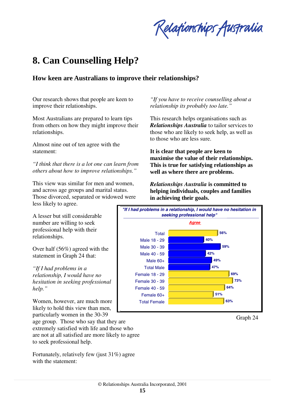Relafionships Australia

## **8. Can Counselling Help?**

### **How keen are Australians to improve their relationships?**

Our research shows that people are keen to improve their relationships.

Most Australians are prepared to learn tips from others on how they might improve their relationships.

Almost nine out of ten agree with the statement:

*"I think that there is a lot one can learn from others about how to improve relationships."*

This view was similar for men and women, and across age groups and marital status. Those divorced, separated or widowed were less likely to agree.

A lesser but still considerable number are willing to seek professional help with their relationships.

Over half (56%) agreed with the statement in Graph 24 that:

*"If I had problems in a relationship, I would have no hesitation in seeking professional help."*

Women, however, are much more likely to hold this view than men, particularly women in the 30-39

age group. Those who say that they are extremely satisfied with life and those who are not at all satisfied are more likely to agree to seek professional help.

Fortunately, relatively few (just 31%) agree with the statement:

*"If you have to receive counselling about a relationship its probably too late."*

This research helps organisations such as *Relationships Australia* to tailor services to those who are likely to seek help, as well as to those who are less sure.

**It is clear that people are keen to maximise the value of their relationships. This is true for satisfying relationships as well as where there are problems.** 

*Relationships Australia* **is committed to helping individuals, couples and families in achieving their goals.**



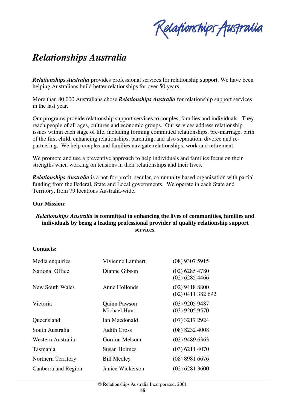Relationships Australia

## *Relationships Australia*

*Relationships Australia* provides professional services for relationship support. We have been helping Australians build better relationships for over 50 years.

More than 80,000 Australians chose *Relationships Australia* for relationship support services in the last year.

Our programs provide relationship support services to couples, families and individuals. They reach people of all ages, cultures and economic groups. Our services address relationship issues within each stage of life, including forming committed relationships, pre-marriage, birth of the first child, enhancing relationships, parenting, and also separation, divorce and repartnering. We help couples and families navigate relationships, work and retirement.

We promote and use a preventive approach to help individuals and families focus on their strengths when working on tensions in their relationships and their lives.

*Relationships Australia* is a not-for-profit, secular, community based organisation with partial funding from the Federal, State and Local governments. We operate in each State and Territory, from 79 locations Australia-wide.

#### **Our Mission:**

#### *Relationships Australia* **is committed to enhancing the lives of communities, families and individuals by being a leading professional provider of quality relationship support services.**

#### **Contacts:**

| Media enquiries           | Vivienne Lambert                    | $(08)$ 9307 5915                        |
|---------------------------|-------------------------------------|-----------------------------------------|
| <b>National Office</b>    | Dianne Gibson                       | $(02)$ 6285 4780<br>$(02)$ 6285 4466    |
| New South Wales           | Anne Hollonds                       | $(02)$ 9418 8800<br>$(02)$ 0411 382 692 |
| Victoria                  | Quinn Pawson<br><b>Michael Hunt</b> | $(03)$ 9205 9487<br>$(03)$ 9205 9570    |
| Queensland                | Ian Macdonald                       | $(07)$ 3217 2924                        |
| South Australia           | Judith Cross                        | $(08)$ 8232 4008                        |
| Western Australia         | Gordon Melsom                       | $(03)$ 9489 6363                        |
| Tasmania                  | <b>Susan Holmes</b>                 | $(03)$ 6211 4070                        |
| <b>Northern Territory</b> | <b>Bill Medley</b>                  | $(08)$ 8981 6676                        |
| Canberra and Region       | Janice Wickerson                    | $(02)$ 6281 3600                        |